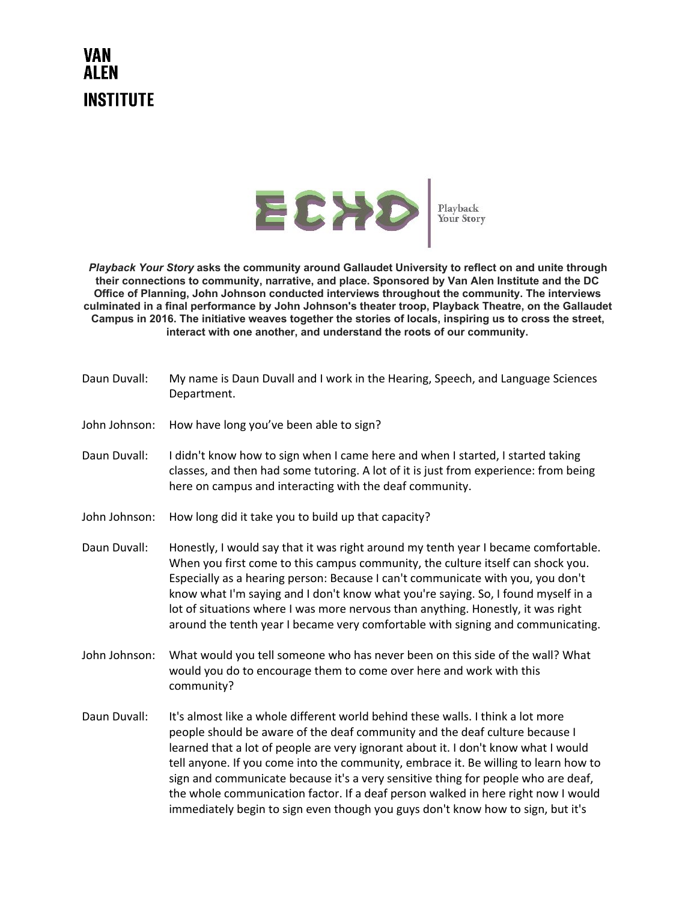## VAN **INSTITUTE**



*Playback Your Story*  **asks the community around Gallaudet University to reflect on and unite through their connections to community, narrative, and place. Sponsored by Van Alen Institute and the DC Office of Planning, John Johnson conducted interviews throughout the community. The interviews culminated in a final performance by John Johnson's theater troop, Playback Theatre, on the Gallaudet Campus in 2016. The initiative weaves together the stories of locals, inspiring us to cross the street, interact with one another, and understand the roots of our community.**

Daun Duvall: My name is Daun Duvall and I work in the Hearing, Speech, and Language Sciences Department. John Johnson: How have long you've been able to sign? Daun Duvall: I didn't know how to sign when I came here and when I started, I started taking classes, and then had some tutoring. A lot of it is just from experience: from being here on campus and interacting with the deaf community. John Johnson: How long did it take you to build up that capacity? Daun Duvall: Honestly, I would say that it was right around my tenth year I became comfortable. When you first come to this campus community, the culture itself can shock you. Especially as a hearing person: Because I can't communicate with you, you don't know what I'm saying and I don't know what you're saying. So, I found myself in a lot of situations where I was more nervous than anything. Honestly, it was right around the tenth year I became very comfortable with signing and communicating. John Johnson: What would you tell someone who has never been on this side of the wall? What would you do to encourage them to come over here and work with this community? Daun Duvall: It's almost like a whole different world behind these walls. I think a lot more people should be aware of the deaf community and the deaf culture because I learned that a lot of people are very ignorant about it. I don't know what I would tell anyone. If you come into the community, embrace it. Be willing to learn how to sign and communicate because it's a very sensitive thing for people who are deaf,

> the whole communication factor. If a deaf person walked in here right now I would immediately begin to sign even though you guys don't know how to sign, but it's